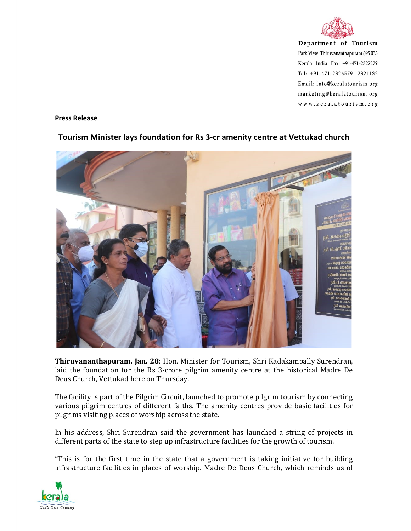

Department of Tourism Park View Thiruvananthapuram 695 033 Kerala India Fax: +91-471-2322279 Tel: +91-471-2326579 2321132 Email: info@keralatourism.org marketing@keralatourism.org www.keralatourism.org

Press Release



## Tourism Minister lays foundation for Rs 3-cr amenity centre at Vettukad church

Thiruvananthapuram, Jan. 28: Hon. Minister for Tourism, Shri Kadakampally Surendran, laid the foundation for the Rs 3-crore pilgrim amenity centre at the historical Madre De Deus Church, Vettukad here on Thursday.

The facility is part of the Pilgrim Circuit, launched to promote pilgrim tourism by connecting various pilgrim centres of different faiths. The amenity centres provide basic facilities for pilgrims visiting places of worship across the state.

In his address, Shri Surendran said the government has launched a string of projects in different parts of the state to step up infrastructure facilities for the growth of tourism.

"This is for the first time in the state that a government is taking initiative for building infrastructure facilities in places of worship. Madre De Deus Church, which reminds us of